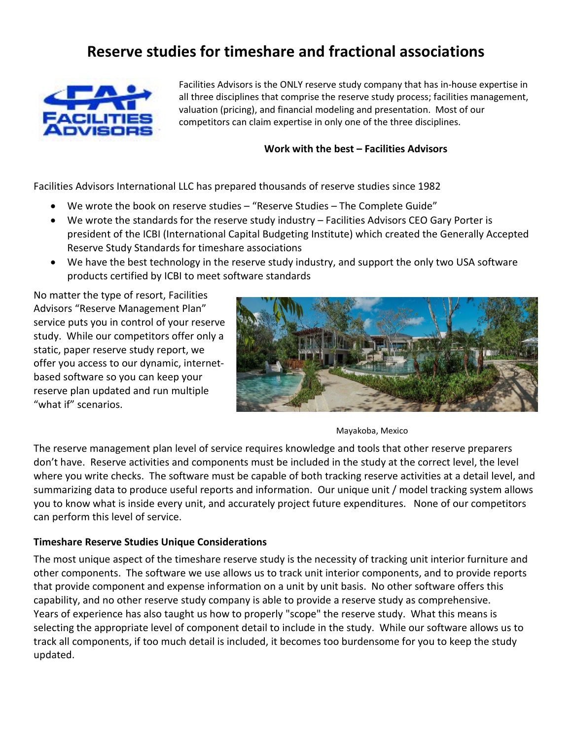# **Reserve studies for timeshare and fractional associations**



Facilities Advisors is the ONLY reserve study company that has in-house expertise in all three disciplines that comprise the reserve study process; facilities management, valuation (pricing), and financial modeling and presentation. Most of our competitors can claim expertise in only one of the three disciplines.

## **Work with the best – Facilities Advisors**

Facilities Advisors International LLC has prepared thousands of reserve studies since 1982

- We wrote the book on reserve studies "Reserve Studies The Complete Guide"
- We wrote the standards for the reserve study industry Facilities Advisors CEO Gary Porter is president of the ICBI (International Capital Budgeting Institute) which created the Generally Accepted Reserve Study Standards for timeshare associations
- We have the best technology in the reserve study industry, and support the only two USA software products certified by ICBI to meet software standards

No matter the type of resort, Facilities Advisors "Reserve Management Plan" service puts you in control of your reserve study. While our competitors offer only a static, paper reserve study report, we offer you access to our dynamic, internetbased software so you can keep your reserve plan updated and run multiple "what if" scenarios.



Mayakoba, Mexico

The reserve management plan level of service requires knowledge and tools that other reserve preparers don't have. Reserve activities and components must be included in the study at the correct level, the level where you write checks. The software must be capable of both tracking reserve activities at a detail level, and summarizing data to produce useful reports and information. Our unique unit / model tracking system allows you to know what is inside every unit, and accurately project future expenditures. None of our competitors can perform this level of service.

## **Timeshare Reserve Studies Unique Considerations**

The most unique aspect of the timeshare reserve study is the necessity of tracking unit interior furniture and other components. The software we use allows us to track unit interior components, and to provide reports that provide component and expense information on a unit by unit basis. No other software offers this capability, and no other reserve study company is able to provide a reserve study as comprehensive. Years of experience has also taught us how to properly "scope" the reserve study. What this means is selecting the appropriate level of component detail to include in the study. While our software allows us to track all components, if too much detail is included, it becomes too burdensome for you to keep the study updated.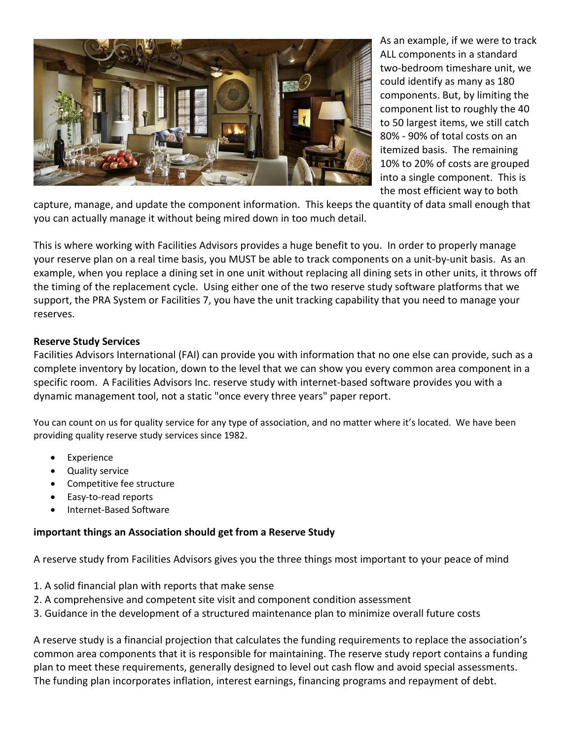

As an example, if we were to track ALL components in a standard two-bedroom timeshare unit, we could identify as many as 180 components. But, by limiting the component list to roughly the 40 to 50 largest items, we still catch 80% - 90% of total costs on an itemized basis. The remaining 10% to 20% of costs are grouped into a single component. This is the most efficient way to both

capture, manage, and update the component information. This keeps the quantity of data small enough that you can actually manage it without being mired down in too much detail.

This is where working with Facilities Advisors provides a huge benefit to you. In order to properly manage your reserve plan on a real time basis, you MUST be able to track components on a unit-by-unit basis. As an example, when you replace a dining set in one unit without replacing all dining sets in other units, it throws off the timing of the replacement cycle. Using either one of the two reserve study software platforms that we support, the PRA System or Facilities 7, you have the unit tracking capability that you need to manage your reserves.

## **Reserve Study Services**

Facilities Advisors International (FAI) can provide you with information that no one else can provide, such as a complete inventory by location, down to the level that we can show you every common area component in a specific room. A Facilities Advisors Inc. reserve study with internet-based software provides you with a dynamic management tool, not a static "once every three years" paper report.

You can count on us for quality service for any type of association, and no matter where it's located. We have been providing quality reserve study services since 1982.

- **Experience**
- Quality service
- Competitive fee structure
- Easy-to-read reports
- Internet-Based Software

#### **important things an Association should get from a Reserve Study**

A reserve study from Facilities Advisors gives you the three things most important to your peace of mind

- 1. A solid financial plan with reports that make sense
- 2. A comprehensive and competent site visit and component condition assessment
- 3. Guidance in the development of a structured maintenance plan to minimize overall future costs

A reserve study is a financial projection that calculates the funding requirements to replace the association's common area components that it is responsible for maintaining. The reserve study report contains a funding plan to meet these requirements, generally designed to level out cash flow and avoid special assessments. The funding plan incorporates inflation, interest earnings, financing programs and repayment of debt.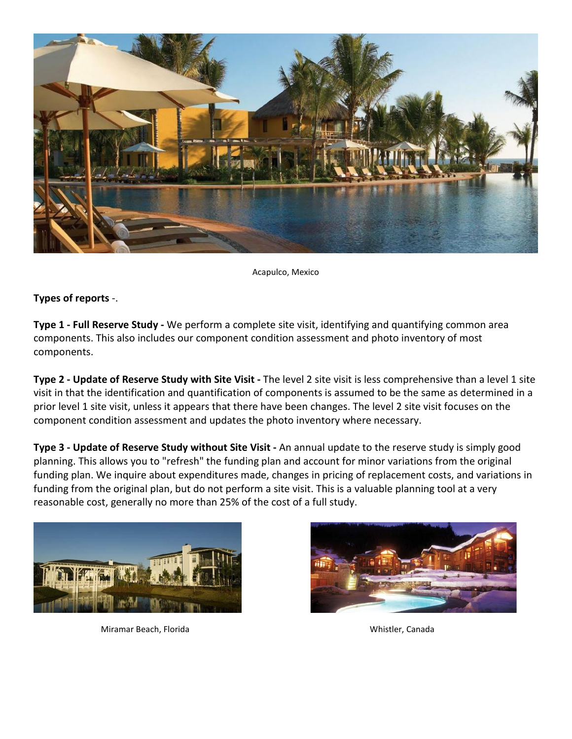

Acapulco, Mexico

## **Types of reports** -.

**Type 1 - Full Reserve Study -** We perform a complete site visit, identifying and quantifying common area components. This also includes our component condition assessment and photo inventory of most components.

**Type 2 - Update of Reserve Study with Site Visit -** The level 2 site visit is less comprehensive than a level 1 site visit in that the identification and quantification of components is assumed to be the same as determined in a prior level 1 site visit, unless it appears that there have been changes. The level 2 site visit focuses on the component condition assessment and updates the photo inventory where necessary.

**Type 3 - Update of Reserve Study without Site Visit -** An annual update to the reserve study is simply good planning. This allows you to "refresh" the funding plan and account for minor variations from the original funding plan. We inquire about expenditures made, changes in pricing of replacement costs, and variations in funding from the original plan, but do not perform a site visit. This is a valuable planning tool at a very reasonable cost, generally no more than 25% of the cost of a full study.



Miramar Beach, Florida **Whistler, Canada** Whistler, Canada